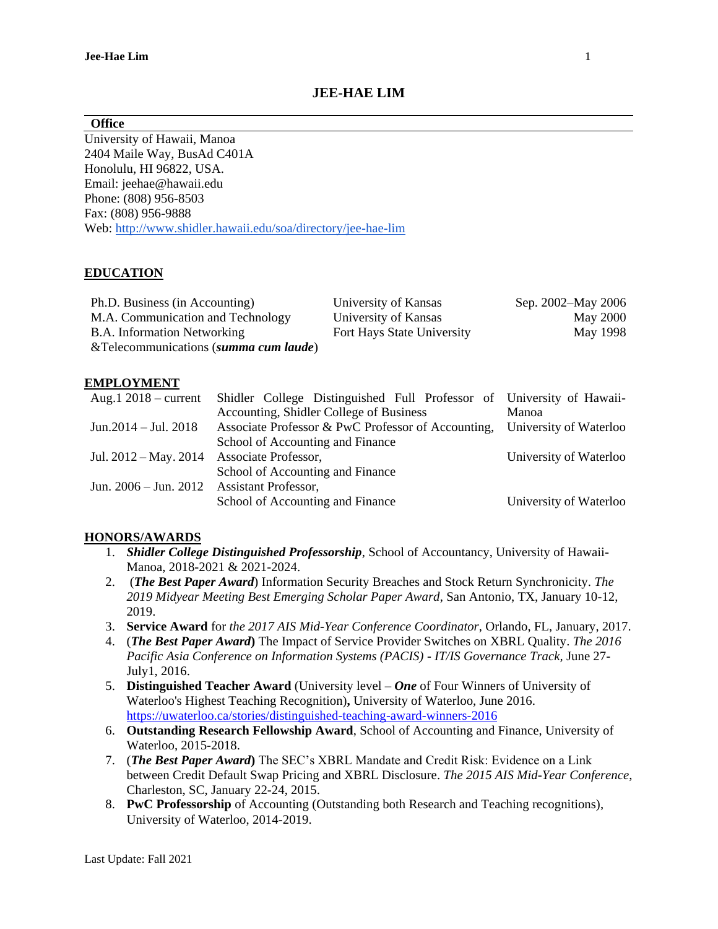## **JEE-HAE LIM**

#### **Office**

University of Hawaii, Manoa 2404 Maile Way, BusAd C401A Honolulu, HI 96822, USA. Email: jeehae@hawaii.edu Phone: (808) 956-8503 Fax: (808) 956-9888 Web: http://www.shidler.hawaii.edu/soa/directory/jee-hae-lim

### **EDUCATION**

| Ph.D. Business (in Accounting)         | University of Kansas       | Sep. 2002–May 2006 |
|----------------------------------------|----------------------------|--------------------|
| M.A. Communication and Technology      | University of Kansas       | <b>May 2000</b>    |
| B.A. Information Networking            | Fort Hays State University | May 1998           |
| & Telecommunications (summa cum laude) |                            |                    |

#### **EMPLOYMENT**

|                                                | Aug.1 2018 – current Shidler College Distinguished Full Professor of University of Hawaii- |                        |
|------------------------------------------------|--------------------------------------------------------------------------------------------|------------------------|
|                                                | Accounting, Shidler College of Business                                                    | Manoa                  |
| Jun. $2014 -$ Jul. $2018$                      | Associate Professor & PwC Professor of Accounting, University of Waterloo                  |                        |
|                                                | School of Accounting and Finance                                                           |                        |
| Jul. 2012 – May. 2014 Associate Professor,     |                                                                                            | University of Waterloo |
|                                                | School of Accounting and Finance                                                           |                        |
| Jun. $2006 -$ Jun. $2012$ Assistant Professor, |                                                                                            |                        |
|                                                | School of Accounting and Finance                                                           | University of Waterloo |

### **HONORS/AWARDS**

- 1. *Shidler College Distinguished Professorship*, School of Accountancy, University of Hawaii-Manoa, 2018-2021 & 2021-2024.
- 2. (*The Best Paper Award*) Information Security Breaches and Stock Return Synchronicity. *The 2019 Midyear Meeting Best Emerging Scholar Paper Award*, San Antonio, TX, January 10-12, 2019.
- 3. **Service Award** for *the 2017 AIS Mid-Year Conference Coordinator*, Orlando, FL, January, 2017.
- 4. (*The Best Paper Award***)** The Impact of Service Provider Switches on XBRL Quality. *The 2016 Pacific Asia Conference on Information Systems (PACIS) - IT/IS Governance Track,* June 27- July1, 2016.
- 5. **Distinguished Teacher Award** (University level *One* of Four Winners of University of Waterloo's Highest Teaching Recognition)**,** University of Waterloo, June 2016. <https://uwaterloo.ca/stories/distinguished-teaching-award-winners-2016>
- 6. **Outstanding Research Fellowship Award**, School of Accounting and Finance, University of Waterloo, 2015-2018.
- 7. (*The Best Paper Award***)** The SEC's XBRL Mandate and Credit Risk: Evidence on a Link between Credit Default Swap Pricing and XBRL Disclosure. *The 2015 AIS Mid-Year Conference*, Charleston, SC, January 22-24, 2015.
- 8. **PwC Professorship** of Accounting (Outstanding both Research and Teaching recognitions), University of Waterloo, 2014-2019.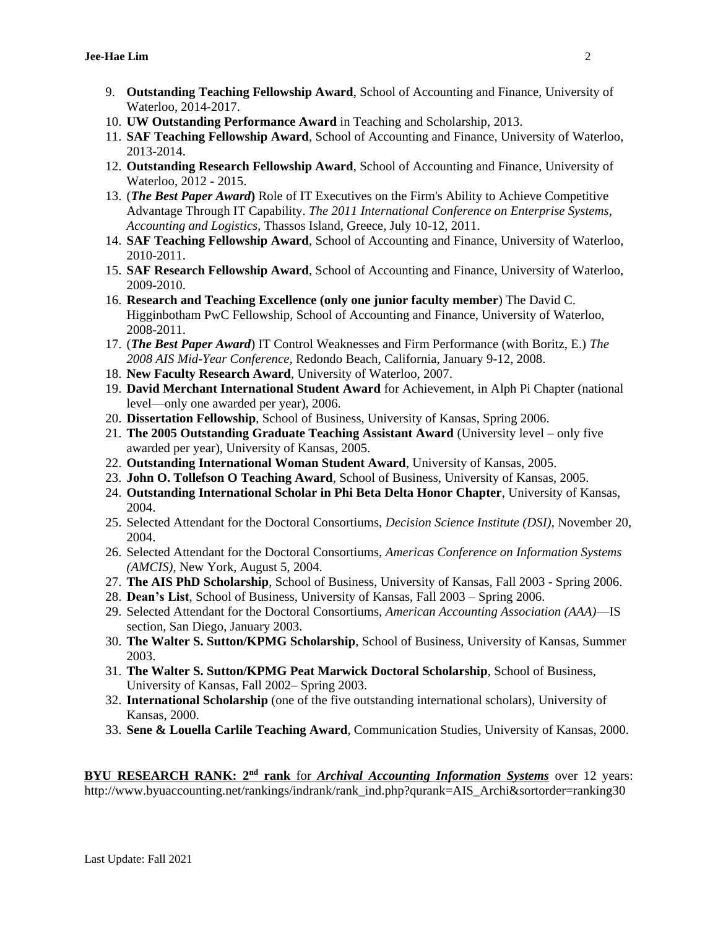- 9. **Outstanding Teaching Fellowship Award**, School of Accounting and Finance, University of Waterloo, 2014-2017.
- 10. **UW Outstanding Performance Award** in Teaching and Scholarship, 2013.
- 11. **SAF Teaching Fellowship Award**, School of Accounting and Finance, University of Waterloo, 2013-2014.
- 12. **Outstanding Research Fellowship Award**, School of Accounting and Finance, University of Waterloo, 2012 - 2015.
- 13. (*The Best Paper Award***)** Role of IT Executives on the Firm's Ability to Achieve Competitive Advantage Through IT Capability. *The 2011 International Conference on Enterprise Systems, Accounting and Logistics*, Thassos Island, Greece, July 10-12, 2011.
- 14. **SAF Teaching Fellowship Award**, School of Accounting and Finance, University of Waterloo, 2010-2011.
- 15. **SAF Research Fellowship Award**, School of Accounting and Finance, University of Waterloo, 2009-2010.
- 16. **Research and Teaching Excellence (only one junior faculty member**) The David C. Higginbotham PwC Fellowship, School of Accounting and Finance, University of Waterloo, 2008-2011.
- 17. (*The Best Paper Award*) IT Control Weaknesses and Firm Performance (with Boritz, E.) *The 2008 AIS Mid-Year Conference,* Redondo Beach, California, January 9-12, 2008.
- 18. **New Faculty Research Award**, University of Waterloo, 2007.
- 19. **David Merchant International Student Award** for Achievement, in Alph Pi Chapter (national level—only one awarded per year), 2006.
- 20. **Dissertation Fellowship**, School of Business, University of Kansas, Spring 2006.
- 21. **The 2005 Outstanding Graduate Teaching Assistant Award** (University level only five awarded per year), University of Kansas, 2005.
- 22. **Outstanding International Woman Student Award**, University of Kansas, 2005.
- 23. **John O. Tollefson O Teaching Award**, School of Business, University of Kansas, 2005.
- 24. **Outstanding International Scholar in Phi Beta Delta Honor Chapter**, University of Kansas, 2004.
- 25. Selected Attendant for the Doctoral Consortiums, *Decision Science Institute (DSI)*, November 20, 2004.
- 26. Selected Attendant for the Doctoral Consortiums, *Americas Conference on Information Systems (AMCIS)*, New York, August 5, 2004.
- 27. **The AIS PhD Scholarship**, School of Business, University of Kansas, Fall 2003 Spring 2006.
- 28. **Dean's List**, School of Business, University of Kansas, Fall 2003 Spring 2006.
- 29. Selected Attendant for the Doctoral Consortiums, *American Accounting Association (AAA)*—IS section, San Diego, January 2003.
- 30. **The Walter S. Sutton/KPMG Scholarship**, School of Business, University of Kansas, Summer 2003.
- 31. **The Walter S. Sutton/KPMG Peat Marwick Doctoral Scholarship**, School of Business, University of Kansas, Fall 2002– Spring 2003.
- 32. **International Scholarship** (one of the five outstanding international scholars), University of Kansas, 2000.
- 33. **Sene & Louella Carlile Teaching Award**, Communication Studies, University of Kansas, 2000.

**BYU RESEARCH RANK:** 2<sup>nd</sup> rank for *Archival Accounting Information Systems* over 12 years: http://www.byuaccounting.net/rankings/indrank/rank\_ind.php?qurank=AIS\_Archi&sortorder=ranking30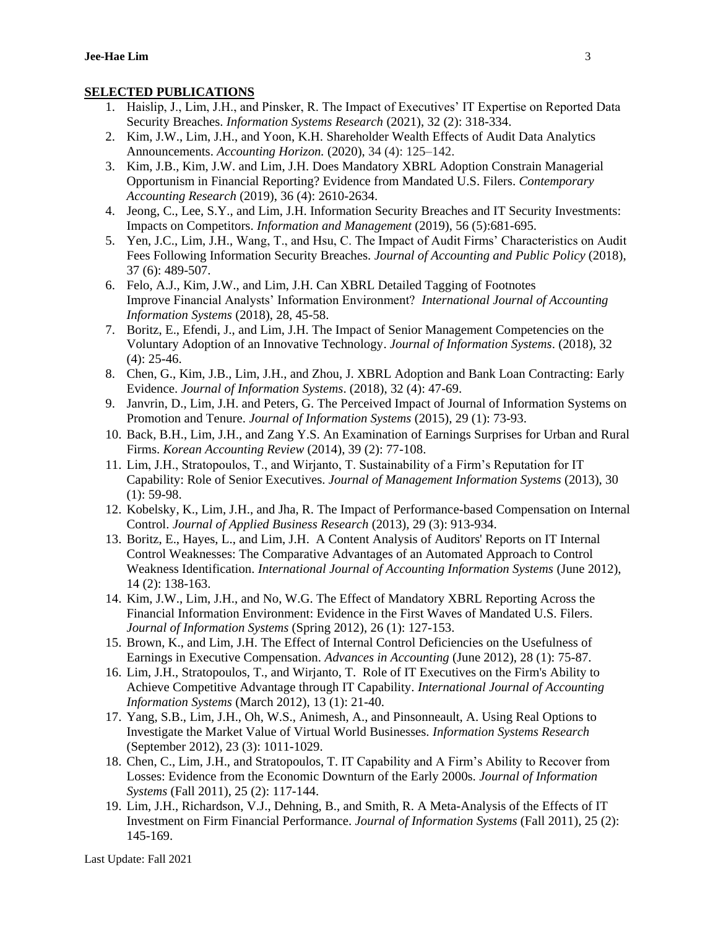### **SELECTED PUBLICATIONS**

- 1. Haislip, J., Lim, J.H., and Pinsker, R. The Impact of Executives' IT Expertise on Reported Data Security Breaches. *Information Systems Research* (2021), 32 (2): 318-334.
- 2. Kim, J.W., Lim, J.H., and Yoon, K.H. Shareholder Wealth Effects of Audit Data Analytics Announcements. *Accounting Horizon.* (2020), 34 (4): 125–142.
- 3. Kim, J.B., Kim, J.W. and Lim, J.H. Does Mandatory XBRL Adoption Constrain Managerial Opportunism in Financial Reporting? Evidence from Mandated U.S. Filers. *Contemporary Accounting Research* (2019), 36 (4): 2610-2634.
- 4. Jeong, C., Lee, S.Y., and Lim, J.H. Information Security Breaches and IT Security Investments: Impacts on Competitors. *Information and Management* (2019), 56 (5):681-695.
- 5. Yen, J.C., Lim, J.H., Wang, T., and Hsu, C. The Impact of Audit Firms' Characteristics on Audit Fees Following Information Security Breaches. *Journal of Accounting and Public Policy* (2018), 37 (6): 489-507.
- 6. Felo, A.J., Kim, J.W., and Lim, J.H. Can XBRL Detailed Tagging of Footnotes Improve Financial Analysts' Information Environment? *International Journal of Accounting Information Systems* (2018), 28, 45-58.
- 7. Boritz, E., Efendi, J., and Lim, J.H. The Impact of Senior Management Competencies on the Voluntary Adoption of an Innovative Technology. *Journal of Information Systems*. (2018), 32 (4): 25-46.
- 8. Chen, G., Kim, J.B., Lim, J.H., and Zhou, J. XBRL Adoption and Bank Loan Contracting: Early Evidence. *Journal of Information Systems*. (2018), 32 (4): 47-69.
- 9. Janvrin, D., Lim, J.H. and Peters, G. The Perceived Impact of Journal of Information Systems on Promotion and Tenure. *Journal of Information Systems* (2015), 29 (1): 73-93.
- 10. Back, B.H., Lim, J.H., and Zang Y.S. An Examination of Earnings Surprises for Urban and Rural Firms. *Korean Accounting Review* (2014), 39 (2): 77-108.
- 11. Lim, J.H., Stratopoulos, T., and Wirjanto, T. Sustainability of a Firm's Reputation for IT Capability: Role of Senior Executives. *Journal of Management Information Systems* (2013), 30  $(1): 59-98.$
- 12. Kobelsky, K., Lim, J.H., and Jha, R. The Impact of Performance-based Compensation on Internal Control. *Journal of Applied Business Research* (2013), 29 (3): 913-934.
- 13. Boritz, E., Hayes, L., and Lim, J.H. A Content Analysis of Auditors' Reports on IT Internal Control Weaknesses: The Comparative Advantages of an Automated Approach to Control Weakness Identification. *International Journal of Accounting Information Systems* (June 2012), 14 (2): 138-163.
- 14. Kim, J.W., Lim, J.H., and No, W.G. The Effect of Mandatory XBRL Reporting Across the Financial Information Environment: Evidence in the First Waves of Mandated U.S. Filers. *Journal of Information Systems* (Spring 2012), 26 (1): 127-153.
- 15. Brown, K., and Lim, J.H. The Effect of Internal Control Deficiencies on the Usefulness of Earnings in Executive Compensation. *Advances in Accounting* (June 2012), 28 (1): 75-87.
- 16. Lim, J.H., Stratopoulos, T., and Wirjanto, T. Role of IT Executives on the Firm's Ability to Achieve Competitive Advantage through IT Capability. *International Journal of Accounting Information Systems* (March 2012), 13 (1): 21-40.
- 17. Yang, S.B., Lim, J.H., Oh, W.S., Animesh, A., and Pinsonneault, A. Using Real Options to Investigate the Market Value of Virtual World Businesses. *Information Systems Research* (September 2012), 23 (3): 1011-1029.
- 18. Chen, C., Lim, J.H., and Stratopoulos, T. IT Capability and A Firm's Ability to Recover from Losses: Evidence from the Economic Downturn of the Early 2000s. *Journal of Information Systems* (Fall 2011), 25 (2): 117-144.
- 19. Lim, J.H., Richardson, V.J., Dehning, B., and Smith, R. A Meta-Analysis of the Effects of IT Investment on Firm Financial Performance. *Journal of Information Systems* (Fall 2011)*,* 25 (2): 145-169.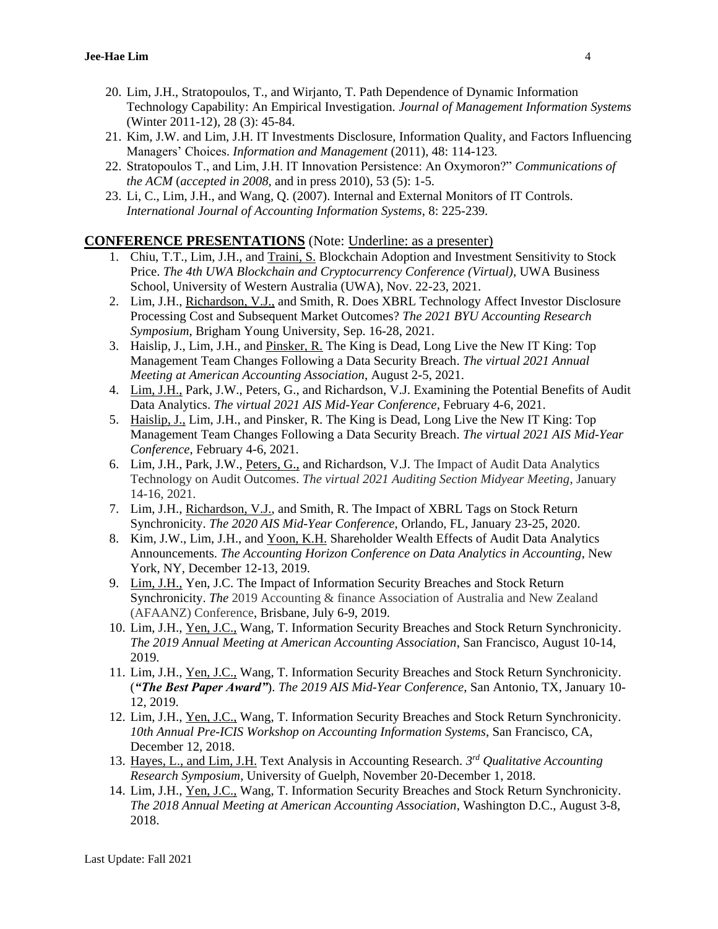- 20. Lim, J.H., Stratopoulos, T., and Wirjanto, T. Path Dependence of Dynamic Information Technology Capability: An Empirical Investigation. *Journal of Management Information Systems* (Winter 2011-12)*,* 28 (3): 45-84.
- 21. Kim, J.W. and Lim, J.H. IT Investments Disclosure, Information Quality, and Factors Influencing Managers' Choices. *Information and Management* (2011), 48: 114-123*.*
- 22. Stratopoulos T., and Lim, J.H. IT Innovation Persistence: An Oxymoron?" *Communications of the ACM* (*accepted in 2008,* and in press 2010), 53 (5): 1-5.
- 23. Li, C., Lim, J.H., and Wang, Q. (2007). Internal and External Monitors of IT Controls. *International Journal of Accounting Information Systems*, 8: 225-239.

### **CONFERENCE PRESENTATIONS** (Note: Underline: as a presenter)

- 1. Chiu, T.T., Lim, J.H., and Traini, S. Blockchain Adoption and Investment Sensitivity to Stock Price. *The 4th UWA Blockchain and Cryptocurrency Conference (Virtual),* UWA Business School, University of Western Australia (UWA), Nov. 22-23, 2021.
- 2. Lim, J.H., Richardson, V.J., and Smith, R. Does XBRL Technology Affect Investor Disclosure Processing Cost and Subsequent Market Outcomes? *The 2021 BYU Accounting Research Symposium*, Brigham Young University, Sep. 16-28, 2021.
- 3. Haislip, J., Lim, J.H., and Pinsker, R. The King is Dead, Long Live the New IT King: Top Management Team Changes Following a Data Security Breach. *The virtual 2021 Annual Meeting at American Accounting Association*, August 2-5, 2021.
- 4. Lim, J.H., Park, J.W., Peters, G., and Richardson, V.J. Examining the Potential Benefits of Audit Data Analytics. *The virtual 2021 AIS Mid-Year Conference*, February 4-6, 2021.
- 5. Haislip, J., Lim, J.H., and Pinsker, R. The King is Dead, Long Live the New IT King: Top Management Team Changes Following a Data Security Breach. *The virtual 2021 AIS Mid-Year Conference*, February 4-6, 2021.
- 6. Lim, J.H., Park, J.W., Peters, G., and Richardson, V.J. The Impact of Audit Data Analytics Technology on Audit Outcomes. *The virtual 2021 Auditing Section Midyear Meeting*, January 14-16, 2021.
- 7. Lim, J.H., Richardson, V.J., and Smith, R. The Impact of XBRL Tags on Stock Return Synchronicity. *The 2020 AIS Mid-Year Conference*, Orlando, FL, January 23-25, 2020.
- 8. Kim, J.W., Lim, J.H., and Yoon, K.H. Shareholder Wealth Effects of Audit Data Analytics Announcements. *The Accounting Horizon Conference on Data Analytics in Accounting*, New York, NY, December 12-13, 2019.
- 9. Lim, J.H., Yen, J.C. The Impact of Information Security Breaches and Stock Return Synchronicity. *The* 2019 Accounting & finance Association of Australia and New Zealand (AFAANZ) Conference, Brisbane, July 6-9, 2019.
- 10. Lim, J.H., Yen, J.C., Wang, T. Information Security Breaches and Stock Return Synchronicity. *The 2019 Annual Meeting at American Accounting Association*, San Francisco, August 10-14, 2019.
- 11. Lim, J.H., Yen, J.C., Wang, T. Information Security Breaches and Stock Return Synchronicity. (*"The Best Paper Award"*). *The 2019 AIS Mid-Year Conference*, San Antonio, TX, January 10- 12, 2019.
- 12. Lim, J.H., Yen, J.C., Wang, T. Information Security Breaches and Stock Return Synchronicity. *10th Annual Pre-ICIS Workshop on Accounting Information Systems*, San Francisco, CA, December 12, 2018.
- 13. Hayes, L., and Lim, J.H. Text Analysis in Accounting Research. *3 rd Qualitative Accounting Research Symposium*, University of Guelph, November 20-December 1, 2018.
- 14. Lim, J.H., Yen, J.C., Wang, T. Information Security Breaches and Stock Return Synchronicity. *The 2018 Annual Meeting at American Accounting Association*, Washington D.C., August 3-8, 2018.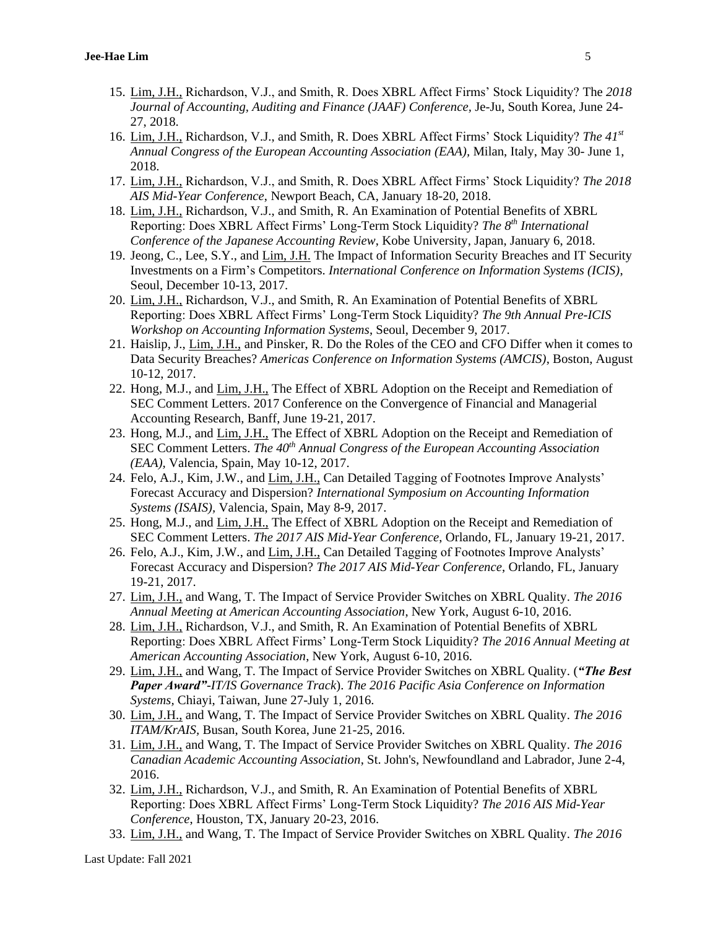- 15. Lim, J.H., Richardson, V.J., and Smith, R. Does XBRL Affect Firms' Stock Liquidity? The *2018 Journal of Accounting, Auditing and Finance (JAAF) Conference,* Je-Ju, South Korea, June 24- 27, 2018.
- 16. Lim, J.H., Richardson, V.J., and Smith, R. Does XBRL Affect Firms' Stock Liquidity? *The 41st Annual Congress of the European Accounting Association (EAA),* Milan, Italy, May 30- June 1, 2018.
- 17. Lim, J.H., Richardson, V.J., and Smith, R. Does XBRL Affect Firms' Stock Liquidity? *The 2018 AIS Mid-Year Conference*, Newport Beach, CA, January 18-20, 2018.
- 18. Lim, J.H., Richardson, V.J., and Smith, R. An Examination of Potential Benefits of XBRL Reporting: Does XBRL Affect Firms' Long-Term Stock Liquidity? *The 8 th International Conference of the Japanese Accounting Review*, Kobe University, Japan, January 6, 2018.
- 19. Jeong, C., Lee, S.Y., and Lim, J.H. The Impact of Information Security Breaches and IT Security Investments on a Firm's Competitors. *International Conference on Information Systems (ICIS)*, Seoul, December 10-13, 2017.
- 20. Lim, J.H., Richardson, V.J., and Smith, R. An Examination of Potential Benefits of XBRL Reporting: Does XBRL Affect Firms' Long-Term Stock Liquidity? *The 9th Annual Pre-ICIS Workshop on Accounting Information Systems*, Seoul, December 9, 2017.
- 21. Haislip, J., Lim, J.H., and Pinsker, R. Do the Roles of the CEO and CFO Differ when it comes to Data Security Breaches? *Americas Conference on Information Systems (AMCIS)*, Boston, August 10-12, 2017.
- 22. Hong, M.J., and Lim, J.H., The Effect of XBRL Adoption on the Receipt and Remediation of SEC Comment Letters. 2017 Conference on the Convergence of Financial and Managerial Accounting Research*,* Banff, June 19-21, 2017.
- 23. Hong, M.J., and Lim, J.H., The Effect of XBRL Adoption on the Receipt and Remediation of SEC Comment Letters. *The 40th Annual Congress of the European Accounting Association (EAA),* Valencia, Spain, May 10-12, 2017.
- 24. Felo, A.J., Kim, J.W., and Lim, J.H., Can Detailed Tagging of Footnotes Improve Analysts' Forecast Accuracy and Dispersion? *International Symposium on Accounting Information Systems (ISAIS),* Valencia, Spain, May 8-9, 2017.
- 25. Hong, M.J., and Lim, J.H., The Effect of XBRL Adoption on the Receipt and Remediation of SEC Comment Letters. *The 2017 AIS Mid-Year Conference*, Orlando, FL, January 19-21, 2017.
- 26. Felo, A.J., Kim, J.W., and Lim, J.H., Can Detailed Tagging of Footnotes Improve Analysts' Forecast Accuracy and Dispersion? *The 2017 AIS Mid-Year Conference*, Orlando, FL, January 19-21, 2017.
- 27. Lim, J.H., and Wang, T. The Impact of Service Provider Switches on XBRL Quality. *The 2016 Annual Meeting at American Accounting Association*, New York, August 6-10, 2016.
- 28. Lim, J.H., Richardson, V.J., and Smith, R. An Examination of Potential Benefits of XBRL Reporting: Does XBRL Affect Firms' Long-Term Stock Liquidity? *The 2016 Annual Meeting at American Accounting Association*, New York, August 6-10, 2016.
- 29. Lim, J.H., and Wang, T. The Impact of Service Provider Switches on XBRL Quality. (*"The Best Paper Award"-IT/IS Governance Track*). *The 2016 Pacific Asia Conference on Information Systems,* Chiayi, Taiwan, June 27-July 1, 2016.
- 30. Lim, J.H., and Wang, T. The Impact of Service Provider Switches on XBRL Quality. *The 2016 ITAM/KrAIS,* Busan, South Korea, June 21-25, 2016.
- 31. Lim, J.H., and Wang, T. The Impact of Service Provider Switches on XBRL Quality. *The 2016 Canadian Academic Accounting Association*, St. John's, Newfoundland and Labrador, June 2-4, 2016.
- 32. Lim, J.H., Richardson, V.J., and Smith, R. An Examination of Potential Benefits of XBRL Reporting: Does XBRL Affect Firms' Long-Term Stock Liquidity? *The 2016 AIS Mid-Year Conference*, Houston, TX, January 20-23, 2016.
- 33. Lim, J.H., and Wang, T. The Impact of Service Provider Switches on XBRL Quality. *The 2016*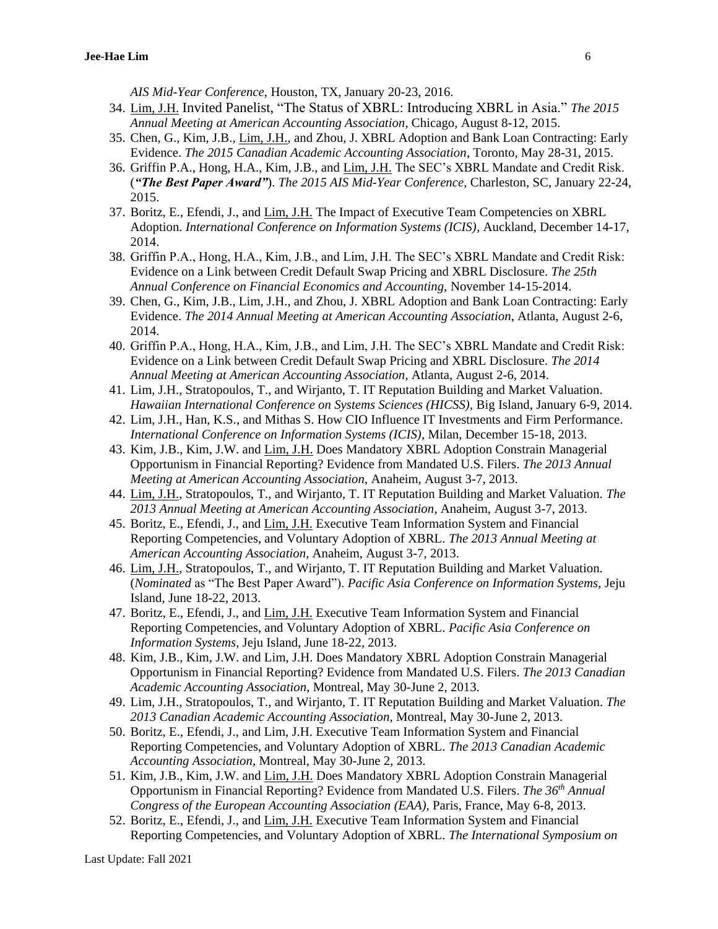*AIS Mid-Year Conference*, Houston, TX, January 20-23, 2016.

- 34. Lim, J.H. Invited Panelist, "The Status of XBRL: Introducing XBRL in Asia." *The 2015 Annual Meeting at American Accounting Association*, Chicago, August 8-12, 2015.
- 35. Chen, G., Kim, J.B., Lim, J.H., and Zhou, J. XBRL Adoption and Bank Loan Contracting: Early Evidence. *The 2015 Canadian Academic Accounting Association*, Toronto, May 28-31, 2015.
- 36. Griffin P.A., Hong, H.A., Kim, J.B., and Lim, J.H. The SEC's XBRL Mandate and Credit Risk. (*"The Best Paper Award"*). *The 2015 AIS Mid-Year Conference*, Charleston, SC, January 22-24, 2015.
- 37. Boritz, E., Efendi, J., and Lim, J.H. The Impact of Executive Team Competencies on XBRL Adoption. *International Conference on Information Systems (ICIS)*, Auckland, December 14-17, 2014.
- 38. Griffin P.A., Hong, H.A., Kim, J.B., and Lim, J.H. The SEC's XBRL Mandate and Credit Risk: Evidence on a Link between Credit Default Swap Pricing and XBRL Disclosure. *The 25th Annual Conference on Financial Economics and Accounting,* November 14-15-2014.
- 39. Chen, G., Kim, J.B., Lim, J.H., and Zhou, J. XBRL Adoption and Bank Loan Contracting: Early Evidence. *The 2014 Annual Meeting at American Accounting Association*, Atlanta, August 2-6, 2014.
- 40. Griffin P.A., Hong, H.A., Kim, J.B., and Lim, J.H. The SEC's XBRL Mandate and Credit Risk: Evidence on a Link between Credit Default Swap Pricing and XBRL Disclosure. *The 2014 Annual Meeting at American Accounting Association*, Atlanta, August 2-6, 2014.
- 41. Lim, J.H., Stratopoulos, T., and Wirjanto, T. IT Reputation Building and Market Valuation. *Hawaiian International Conference on Systems Sciences (HICSS),* Big Island, January 6-9, 2014.
- 42. Lim, J.H., Han, K.S., and Mithas S. How CIO Influence IT Investments and Firm Performance. *International Conference on Information Systems (ICIS)*, Milan, December 15-18, 2013.
- 43. Kim, J.B., Kim, J.W. and Lim, J.H. Does Mandatory XBRL Adoption Constrain Managerial Opportunism in Financial Reporting? Evidence from Mandated U.S. Filers. *The 2013 Annual Meeting at American Accounting Association*, Anaheim, August 3-7, 2013.
- 44. Lim, J.H., Stratopoulos, T., and Wirjanto, T. IT Reputation Building and Market Valuation. *The 2013 Annual Meeting at American Accounting Association*, Anaheim, August 3-7, 2013.
- 45. Boritz, E., Efendi, J., and Lim, J.H. Executive Team Information System and Financial Reporting Competencies, and Voluntary Adoption of XBRL. *The 2013 Annual Meeting at American Accounting Association*, Anaheim, August 3-7, 2013.
- 46. Lim, J.H., Stratopoulos, T., and Wirjanto, T. IT Reputation Building and Market Valuation. (*Nominated* as "The Best Paper Award"). *Pacific Asia Conference on Information Systems*, Jeju Island, June 18-22, 2013.
- 47. Boritz, E., Efendi, J., and Lim, J.H. Executive Team Information System and Financial Reporting Competencies, and Voluntary Adoption of XBRL. *Pacific Asia Conference on Information Systems*, Jeju Island, June 18-22, 2013.
- 48. Kim, J.B., Kim, J.W. and Lim, J.H. Does Mandatory XBRL Adoption Constrain Managerial Opportunism in Financial Reporting? Evidence from Mandated U.S. Filers. *The 2013 Canadian Academic Accounting Association*, Montreal, May 30-June 2, 2013.
- 49. Lim, J.H., Stratopoulos, T., and Wirjanto, T. IT Reputation Building and Market Valuation. *The 2013 Canadian Academic Accounting Association*, Montreal, May 30-June 2, 2013.
- 50. Boritz, E., Efendi, J., and Lim, J.H. Executive Team Information System and Financial Reporting Competencies, and Voluntary Adoption of XBRL. *The 2013 Canadian Academic Accounting Association*, Montreal, May 30-June 2, 2013.
- 51. Kim, J.B., Kim, J.W. and Lim, J.H. Does Mandatory XBRL Adoption Constrain Managerial Opportunism in Financial Reporting? Evidence from Mandated U.S. Filers. *The 36th Annual Congress of the European Accounting Association (EAA),* Paris, France, May 6-8, 2013.
- 52. Boritz, E., Efendi, J., and Lim, J.H. Executive Team Information System and Financial Reporting Competencies, and Voluntary Adoption of XBRL. *The International Symposium on*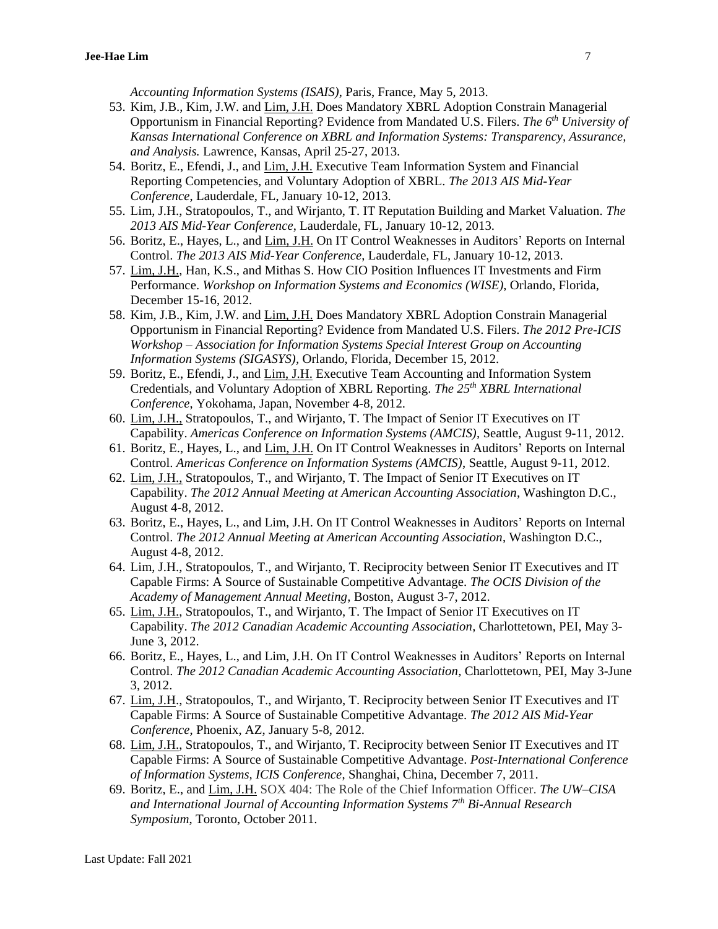*Accounting Information Systems (ISAIS)*, Paris, France, May 5, 2013.

- 53. Kim, J.B., Kim, J.W. and Lim, J.H. Does Mandatory XBRL Adoption Constrain Managerial Opportunism in Financial Reporting? Evidence from Mandated U.S. Filers. *The 6 th University of Kansas International Conference on XBRL and Information Systems: Transparency, Assurance, and Analysis.* Lawrence, Kansas, April 25-27, 2013.
- 54. Boritz, E., Efendi, J., and Lim, J.H. Executive Team Information System and Financial Reporting Competencies, and Voluntary Adoption of XBRL. *The 2013 AIS Mid-Year Conference*, Lauderdale, FL, January 10-12, 2013.
- 55. Lim, J.H., Stratopoulos, T., and Wirjanto, T. IT Reputation Building and Market Valuation. *The 2013 AIS Mid-Year Conference*, Lauderdale, FL, January 10-12, 2013.
- 56. Boritz, E., Hayes, L., and Lim, J.H. On IT Control Weaknesses in Auditors' Reports on Internal Control. *The 2013 AIS Mid-Year Conference*, Lauderdale, FL, January 10-12, 2013.
- 57. Lim, J.H., Han, K.S., and Mithas S. How CIO Position Influences IT Investments and Firm Performance. *Workshop on Information Systems and Economics (WISE)*, Orlando, Florida, December 15-16, 2012.
- 58. Kim, J.B., Kim, J.W. and Lim, J.H. Does Mandatory XBRL Adoption Constrain Managerial Opportunism in Financial Reporting? Evidence from Mandated U.S. Filers. *The 2012 Pre-ICIS Workshop – Association for Information Systems Special Interest Group on Accounting Information Systems (SIGASYS),* Orlando, Florida, December 15, 2012.
- 59. Boritz, E., Efendi, J., and Lim, J.H. Executive Team Accounting and Information System Credentials, and Voluntary Adoption of XBRL Reporting. *The 25 th XBRL International Conference*, Yokohama, Japan, November 4-8, 2012.
- 60. Lim, J.H., Stratopoulos, T., and Wirjanto, T. The Impact of Senior IT Executives on IT Capability. *Americas Conference on Information Systems (AMCIS)*, Seattle, August 9-11, 2012.
- 61. Boritz, E., Hayes, L., and Lim, J.H. On IT Control Weaknesses in Auditors' Reports on Internal Control. *Americas Conference on Information Systems (AMCIS)*, Seattle, August 9-11, 2012.
- 62. Lim, J.H., Stratopoulos, T., and Wirjanto, T. The Impact of Senior IT Executives on IT Capability. *The 2012 Annual Meeting at American Accounting Association*, Washington D.C., August 4-8, 2012.
- 63. Boritz, E., Hayes, L., and Lim, J.H. On IT Control Weaknesses in Auditors' Reports on Internal Control. *The 2012 Annual Meeting at American Accounting Association*, Washington D.C., August 4-8, 2012.
- 64. Lim, J.H., Stratopoulos, T., and Wirjanto, T. Reciprocity between Senior IT Executives and IT Capable Firms: A Source of Sustainable Competitive Advantage. *The OCIS Division of the Academy of Management Annual Meeting,* Boston, August 3-7, 2012.
- 65. Lim, J.H., Stratopoulos, T., and Wirjanto, T. The Impact of Senior IT Executives on IT Capability. *The 2012 Canadian Academic Accounting Association,* Charlottetown, PEI, May 3- June 3, 2012.
- 66. Boritz, E., Hayes, L., and Lim, J.H. On IT Control Weaknesses in Auditors' Reports on Internal Control. *The 2012 Canadian Academic Accounting Association,* Charlottetown, PEI, May 3-June 3, 2012.
- 67. Lim, J.H., Stratopoulos, T., and Wirjanto, T. Reciprocity between Senior IT Executives and IT Capable Firms: A Source of Sustainable Competitive Advantage. *The 2012 AIS Mid-Year Conference*, Phoenix, AZ, January 5-8, 2012.
- 68. Lim, J.H., Stratopoulos, T., and Wirjanto, T. Reciprocity between Senior IT Executives and IT Capable Firms: A Source of Sustainable Competitive Advantage. *Post-International Conference of Information Systems, ICIS Conference*, Shanghai, China, December 7, 2011.
- 69. Boritz, E., and Lim, J.H. SOX 404: The Role of the Chief Information Officer. *The UW–CISA and International Journal of Accounting Information Systems 7th Bi-Annual Research Symposium*, Toronto, October 2011.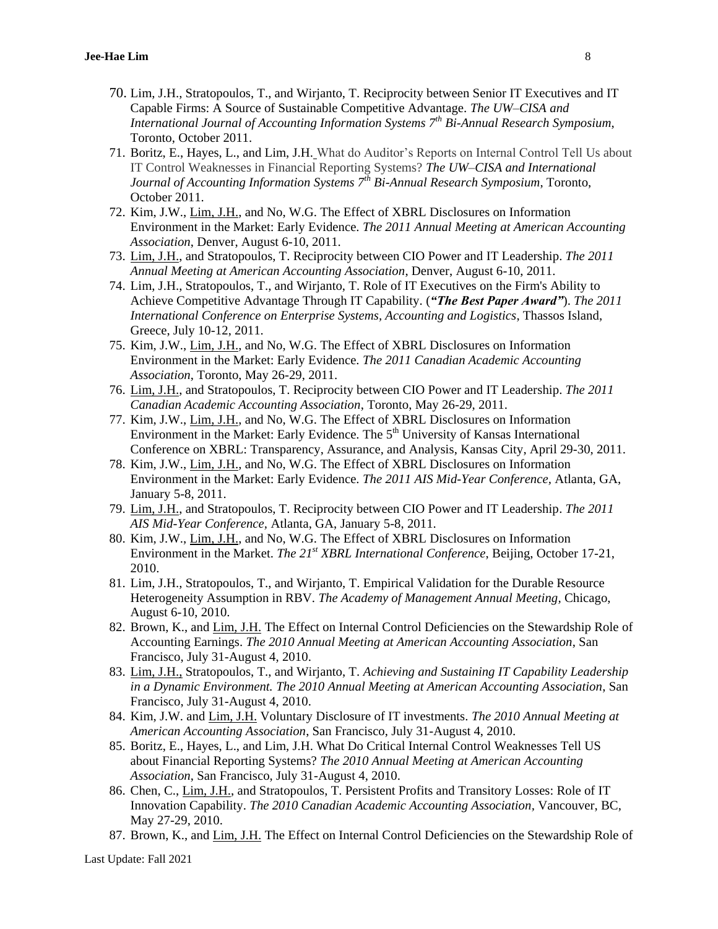- 70. Lim, J.H., Stratopoulos, T., and Wirjanto, T. Reciprocity between Senior IT Executives and IT Capable Firms: A Source of Sustainable Competitive Advantage. *The UW–CISA and International Journal of Accounting Information Systems 7th Bi-Annual Research Symposium*, Toronto, October 2011.
- 71. Boritz, E., Hayes, L., and Lim, J.H. What do Auditor's Reports on Internal Control Tell Us about IT Control Weaknesses in Financial Reporting Systems? *The UW–CISA and International Journal of Accounting Information Systems 7th Bi-Annual Research Symposium*, Toronto, October 2011.
- 72. Kim, J.W., Lim, J.H., and No, W.G. The Effect of XBRL Disclosures on Information Environment in the Market: Early Evidence. *The 2011 Annual Meeting at American Accounting Association*, Denver, August 6-10, 2011.
- 73. Lim, J.H., and Stratopoulos, T. Reciprocity between CIO Power and IT Leadership. *The 2011 Annual Meeting at American Accounting Association*, Denver, August 6-10, 2011.
- 74. Lim, J.H., Stratopoulos, T., and Wirjanto, T. Role of IT Executives on the Firm's Ability to Achieve Competitive Advantage Through IT Capability. (*"The Best Paper Award"*). *The 2011 International Conference on Enterprise Systems, Accounting and Logistics*, Thassos Island, Greece, July 10-12, 2011.
- 75. Kim, J.W., Lim, J.H., and No, W.G. The Effect of XBRL Disclosures on Information Environment in the Market: Early Evidence. *The 2011 Canadian Academic Accounting Association*, Toronto, May 26-29, 2011.
- 76. Lim, J.H., and Stratopoulos, T. Reciprocity between CIO Power and IT Leadership. *The 2011 Canadian Academic Accounting Association*, Toronto, May 26-29, 2011.
- 77. Kim, J.W., Lim, J.H., and No, W.G. The Effect of XBRL Disclosures on Information Environment in the Market: Early Evidence. The 5<sup>th</sup> University of Kansas International Conference on XBRL: Transparency, Assurance, and Analysis, Kansas City, April 29-30, 2011.
- 78. Kim, J.W., Lim, J.H., and No, W.G. The Effect of XBRL Disclosures on Information Environment in the Market: Early Evidence. *The 2011 AIS Mid-Year Conference,* Atlanta, GA, January 5-8, 2011.
- 79. Lim, J.H., and Stratopoulos, T. Reciprocity between CIO Power and IT Leadership. *The 2011 AIS Mid-Year Conference,* Atlanta, GA, January 5-8, 2011.
- 80. Kim, J.W., Lim, J.H., and No, W.G. The Effect of XBRL Disclosures on Information Environment in the Market. *The 21st XBRL International Conference*, Beijing, October 17-21, 2010.
- 81. Lim, J.H., Stratopoulos, T., and Wirjanto, T. Empirical Validation for the Durable Resource Heterogeneity Assumption in RBV. *The Academy of Management Annual Meeting,* Chicago, August 6-10, 2010.
- 82. Brown, K., and Lim, J.H. The Effect on Internal Control Deficiencies on the Stewardship Role of Accounting Earnings. *The 2010 Annual Meeting at American Accounting Association*, San Francisco, July 31-August 4, 2010.
- 83. Lim, J.H., Stratopoulos, T., and Wirjanto, T. *Achieving and Sustaining IT Capability Leadership in a Dynamic Environment. The 2010 Annual Meeting at American Accounting Association*, San Francisco, July 31-August 4, 2010.
- 84. Kim, J.W. and Lim, J.H. Voluntary Disclosure of IT investments. *The 2010 Annual Meeting at American Accounting Association*, San Francisco, July 31-August 4, 2010.
- 85. Boritz, E., Hayes, L., and Lim, J.H. What Do Critical Internal Control Weaknesses Tell US about Financial Reporting Systems? *The 2010 Annual Meeting at American Accounting Association*, San Francisco, July 31-August 4, 2010.
- 86. Chen, C., Lim, J.H., and Stratopoulos, T. Persistent Profits and Transitory Losses: Role of IT Innovation Capability. *The 2010 Canadian Academic Accounting Association,* Vancouver, BC, May 27-29, 2010.
- 87. Brown, K., and Lim, J.H. The Effect on Internal Control Deficiencies on the Stewardship Role of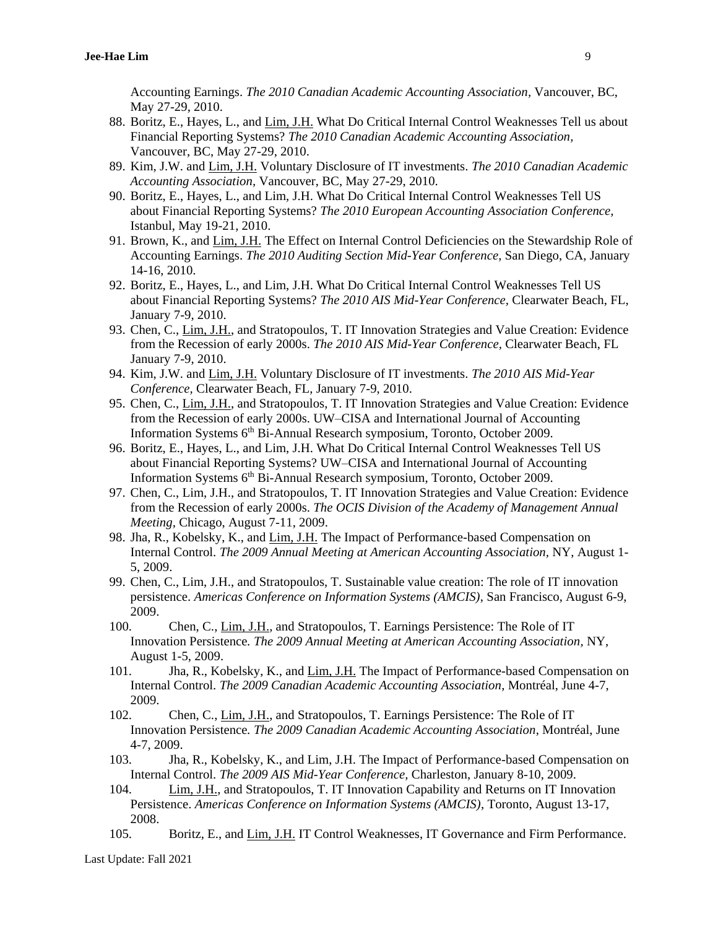Accounting Earnings. *The 2010 Canadian Academic Accounting Association,* Vancouver, BC, May 27-29, 2010.

- 88. Boritz, E., Hayes, L., and Lim, J.H. What Do Critical Internal Control Weaknesses Tell us about Financial Reporting Systems? *The 2010 Canadian Academic Accounting Association,*  Vancouver, BC, May 27-29, 2010.
- 89. Kim, J.W. and Lim, J.H. Voluntary Disclosure of IT investments. *The 2010 Canadian Academic Accounting Association,* Vancouver, BC, May 27-29, 2010.
- 90. Boritz, E., Hayes, L., and Lim, J.H. What Do Critical Internal Control Weaknesses Tell US about Financial Reporting Systems? *The 2010 European Accounting Association Conference,*  Istanbul, May 19-21, 2010.
- 91. Brown, K., and Lim, J.H. The Effect on Internal Control Deficiencies on the Stewardship Role of Accounting Earnings. *The 2010 Auditing Section Mid-Year Conference,* San Diego, CA, January 14-16, 2010.
- 92. Boritz, E., Hayes, L., and Lim, J.H. What Do Critical Internal Control Weaknesses Tell US about Financial Reporting Systems? *The 2010 AIS Mid-Year Conference,* Clearwater Beach, FL, January 7-9, 2010.
- 93. Chen, C., Lim, J.H., and Stratopoulos, T. IT Innovation Strategies and Value Creation: Evidence from the Recession of early 2000s. *The 2010 AIS Mid-Year Conference,* Clearwater Beach, FL January 7-9, 2010.
- 94. Kim, J.W. and Lim, J.H. Voluntary Disclosure of IT investments. *The 2010 AIS Mid-Year Conference,* Clearwater Beach, FL, January 7-9, 2010.
- 95. Chen, C., Lim, J.H., and Stratopoulos, T. IT Innovation Strategies and Value Creation: Evidence from the Recession of early 2000s. UW–CISA and International Journal of Accounting Information Systems 6<sup>th</sup> Bi-Annual Research symposium, Toronto, October 2009.
- 96. Boritz, E., Hayes, L., and Lim, J.H. What Do Critical Internal Control Weaknesses Tell US about Financial Reporting Systems? UW–CISA and International Journal of Accounting Information Systems 6<sup>th</sup> Bi-Annual Research symposium, Toronto, October 2009.
- 97. Chen, C., Lim, J.H., and Stratopoulos, T. IT Innovation Strategies and Value Creation: Evidence from the Recession of early 2000s. *The OCIS Division of the Academy of Management Annual Meeting,* Chicago, August 7-11, 2009.
- 98. Jha, R., Kobelsky, K., and Lim, J.H. The Impact of Performance-based Compensation on Internal Control. *The 2009 Annual Meeting at American Accounting Association,* NY, August 1- 5, 2009.
- 99. Chen, C., Lim, J.H., and Stratopoulos, T. Sustainable value creation: The role of IT innovation persistence. *Americas Conference on Information Systems (AMCIS)*, San Francisco, August 6-9, 2009.
- 100. Chen, C., Lim, J.H., and Stratopoulos, T. Earnings Persistence: The Role of IT Innovation Persistence*. The 2009 Annual Meeting at American Accounting Association,* NY, August 1-5, 2009.
- 101. Jha, R., Kobelsky, K., and Lim, J.H. The Impact of Performance-based Compensation on Internal Control. *The 2009 Canadian Academic Accounting Association*, Montréal, June 4-7, 2009.
- 102. Chen, C., Lim, J.H., and Stratopoulos, T. Earnings Persistence: The Role of IT Innovation Persistence*. The 2009 Canadian Academic Accounting Association*, Montréal, June 4-7, 2009.
- 103. Jha, R., Kobelsky, K., and Lim, J.H. The Impact of Performance-based Compensation on Internal Control. *The 2009 AIS Mid-Year Conference,* Charleston, January 8-10, 2009.
- 104. Lim, J.H., and Stratopoulos, T. IT Innovation Capability and Returns on IT Innovation Persistence. *Americas Conference on Information Systems (AMCIS)*, Toronto, August 13-17, 2008.
- 105. Boritz, E., and Lim, J.H. IT Control Weaknesses, IT Governance and Firm Performance.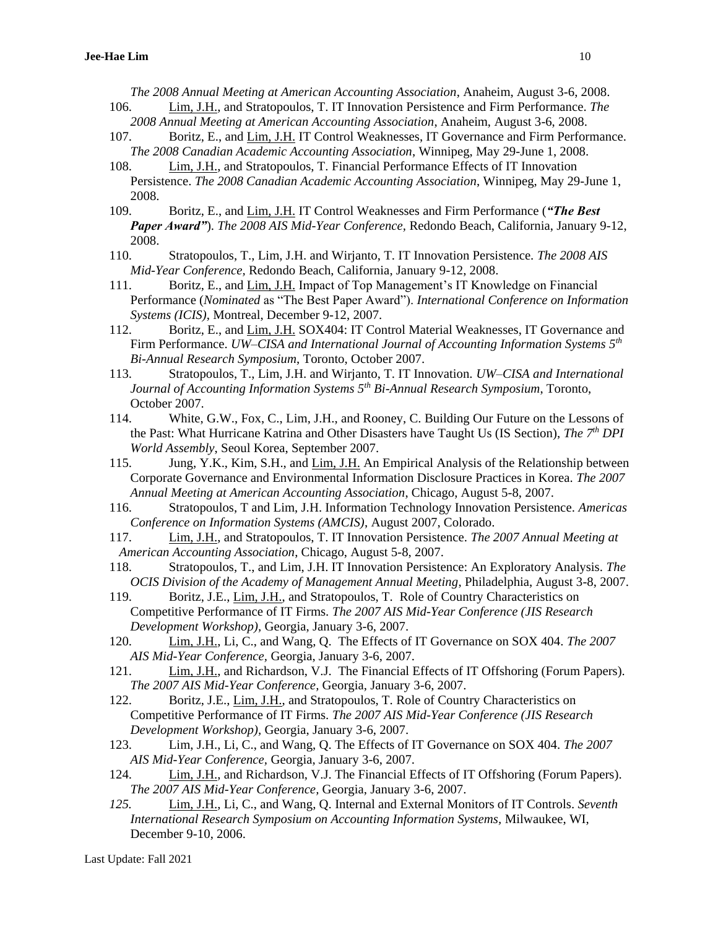*The 2008 Annual Meeting at American Accounting Association*, Anaheim, August 3-6, 2008.

- 106. Lim, J.H., and Stratopoulos, T. IT Innovation Persistence and Firm Performance. *The 2008 Annual Meeting at American Accounting Association*, Anaheim, August 3-6, 2008.
- 107. Boritz, E., and Lim, J.H. IT Control Weaknesses, IT Governance and Firm Performance. *The 2008 Canadian Academic Accounting Association*, Winnipeg, May 29-June 1, 2008.
- 108. Lim, J.H., and Stratopoulos, T. Financial Performance Effects of IT Innovation Persistence. *The 2008 Canadian Academic Accounting Association*, Winnipeg, May 29-June 1, 2008.
- 109. Boritz, E., and Lim, J.H. IT Control Weaknesses and Firm Performance (*"The Best Paper Award"*). *The 2008 AIS Mid-Year Conference,* Redondo Beach, California, January 9-12, 2008.
- 110. Stratopoulos, T., Lim, J.H. and Wirjanto, T. IT Innovation Persistence. *The 2008 AIS Mid-Year Conference,* Redondo Beach, California, January 9-12, 2008.
- 111. Boritz, E., and Lim, J.H. Impact of Top Management's IT Knowledge on Financial Performance (*Nominated* as "The Best Paper Award"). *International Conference on Information Systems (ICIS)*, Montreal, December 9-12, 2007.
- 112. Boritz, E., and Lim, J.H. SOX404: IT Control Material Weaknesses, IT Governance and Firm Performance. *UW–CISA and International Journal of Accounting Information Systems 5th Bi-Annual Research Symposium*, Toronto, October 2007.
- 113. Stratopoulos, T., Lim, J.H. and Wirjanto, T. IT Innovation. *UW–CISA and International Journal of Accounting Information Systems 5th Bi-Annual Research Symposium*, Toronto, October 2007.
- 114. White, G.W., Fox, C., Lim, J.H., and Rooney, C. Building Our Future on the Lessons of the Past: What Hurricane Katrina and Other Disasters have Taught Us (IS Section), *The 7th DPI World Assembly*, Seoul Korea, September 2007.
- 115. Jung, Y.K., Kim, S.H., and Lim, J.H. An Empirical Analysis of the Relationship between Corporate Governance and Environmental Information Disclosure Practices in Korea. *The 2007 Annual Meeting at American Accounting Association*, Chicago, August 5-8, 2007.
- 116. Stratopoulos, T and Lim, J.H. Information Technology Innovation Persistence. *Americas Conference on Information Systems (AMCIS)*, August 2007, Colorado.
- 117. Lim, J.H., and Stratopoulos, T. IT Innovation Persistence. *The 2007 Annual Meeting at American Accounting Association*, Chicago, August 5-8, 2007.
- 118. Stratopoulos, T., and Lim, J.H. IT Innovation Persistence: An Exploratory Analysis. *The OCIS Division of the Academy of Management Annual Meeting*, Philadelphia, August 3-8, 2007.
- 119. Boritz, J.E., Lim, J.H., and Stratopoulos, T. Role of Country Characteristics on Competitive Performance of IT Firms. *The 2007 AIS Mid-Year Conference (JIS Research Development Workshop),* Georgia, January 3-6, 2007.
- 120. Lim, J.H., Li, C., and Wang, Q. The Effects of IT Governance on SOX 404. *The 2007 AIS Mid-Year Conference,* Georgia, January 3-6, 2007.
- 121. Lim, J.H., and Richardson, V.J. The Financial Effects of IT Offshoring (Forum Papers). *The 2007 AIS Mid-Year Conference,* Georgia, January 3-6, 2007.
- 122. Boritz, J.E., Lim, J.H., and Stratopoulos, T. Role of Country Characteristics on Competitive Performance of IT Firms. *The 2007 AIS Mid-Year Conference (JIS Research Development Workshop),* Georgia, January 3-6, 2007.
- 123. Lim, J.H., Li, C., and Wang, Q. The Effects of IT Governance on SOX 404. *The 2007 AIS Mid-Year Conference,* Georgia, January 3-6, 2007.
- 124. Lim, J.H., and Richardson, V.J. The Financial Effects of IT Offshoring (Forum Papers). *The 2007 AIS Mid-Year Conference,* Georgia, January 3-6, 2007.
- *125.* Lim, J.H., Li, C., and Wang, Q. Internal and External Monitors of IT Controls. *Seventh International Research Symposium on Accounting Information Systems,* Milwaukee, WI, December 9-10, 2006.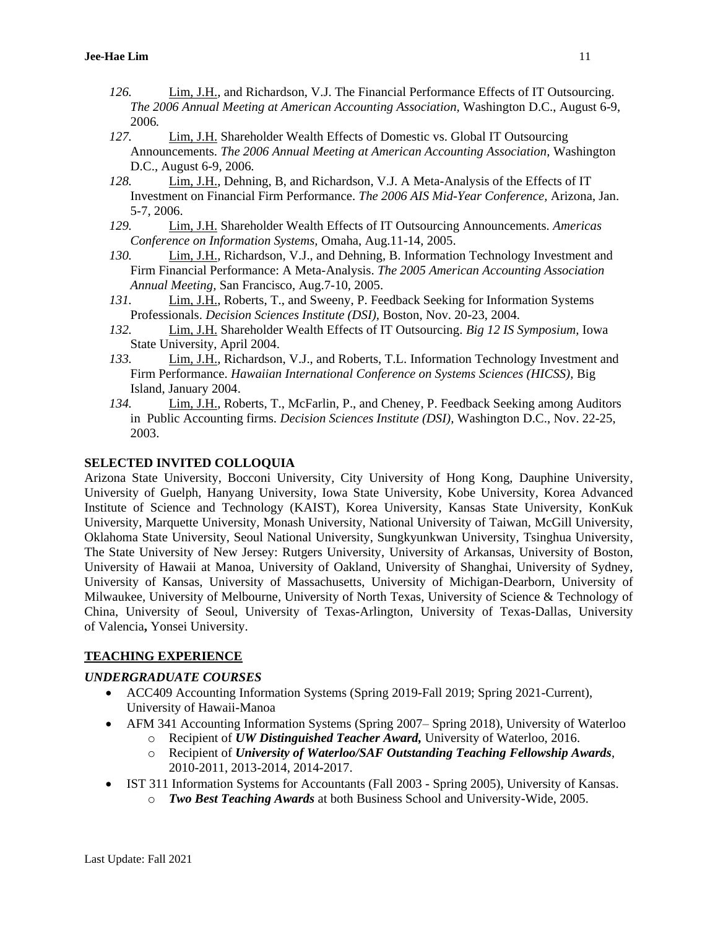- *126.* Lim, J.H., and Richardson, V.J. The Financial Performance Effects of IT Outsourcing. *The 2006 Annual Meeting at American Accounting Association,* Washington D.C., August 6-9, 2006*.*
- *127.* Lim, J.H. Shareholder Wealth Effects of Domestic vs. Global IT Outsourcing Announcements. *The 2006 Annual Meeting at American Accounting Association,* Washington D.C., August 6-9, 2006*.*
- *128.* Lim, J.H., Dehning, B, and Richardson, V.J. A Meta-Analysis of the Effects of IT Investment on Financial Firm Performance. *The 2006 AIS Mid-Year Conference,* Arizona, Jan. 5-7, 2006.
- *129.* Lim, J.H. Shareholder Wealth Effects of IT Outsourcing Announcements. *Americas Conference on Information Systems,* Omaha, Aug.11-14, 2005.
- *130.* Lim, J.H., Richardson, V.J., and Dehning, B. Information Technology Investment and Firm Financial Performance: A Meta-Analysis. *The 2005 American Accounting Association Annual Meeting,* San Francisco, Aug.7-10, 2005.
- *131.* Lim, J.H., Roberts, T., and Sweeny, P. Feedback Seeking for Information Systems Professionals. *Decision Sciences Institute (DSI),* Boston, Nov. 20-23, 2004.
- *132.* Lim, J.H. Shareholder Wealth Effects of IT Outsourcing. *Big 12 IS Symposium,* Iowa State University, April 2004.
- *133.* Lim, J.H., Richardson, V.J., and Roberts, T.L. Information Technology Investment and Firm Performance. *Hawaiian International Conference on Systems Sciences (HICSS),* Big Island, January 2004.
- *134.* Lim, J.H., Roberts, T., McFarlin, P., and Cheney, P. Feedback Seeking among Auditors in Public Accounting firms. *Decision Sciences Institute (DSI),* Washington D.C., Nov. 22-25, 2003.

### **SELECTED INVITED COLLOQUIA**

Arizona State University, Bocconi University, City University of Hong Kong, Dauphine University, University of Guelph, Hanyang University, Iowa State University, Kobe University, Korea Advanced Institute of Science and Technology (KAIST), Korea University, Kansas State University, KonKuk University, Marquette University, Monash University, National University of Taiwan, McGill University, Oklahoma State University, Seoul National University, Sungkyunkwan University, Tsinghua University, The State University of New Jersey: Rutgers University, University of Arkansas, University of Boston, University of Hawaii at Manoa, University of Oakland, University of Shanghai, University of Sydney, University of Kansas, University of Massachusetts, University of Michigan-Dearborn, University of Milwaukee, University of Melbourne, University of North Texas, University of Science & Technology of China, University of Seoul, University of Texas-Arlington, University of Texas-Dallas, University of Valencia**,** Yonsei University.

## **TEACHING EXPERIENCE**

## *UNDERGRADUATE COURSES*

- ACC409 Accounting Information Systems (Spring 2019-Fall 2019; Spring 2021-Current), University of Hawaii-Manoa
- AFM 341 Accounting Information Systems (Spring 2007– Spring 2018), University of Waterloo
	- o Recipient of *UW Distinguished Teacher Award,* University of Waterloo, 2016.
	- o Recipient of *University of Waterloo/SAF Outstanding Teaching Fellowship Awards*, 2010-2011, 2013-2014, 2014-2017.
- IST 311 Information Systems for Accountants (Fall 2003 Spring 2005), University of Kansas.
	- o *Two Best Teaching Awards* at both Business School and University-Wide, 2005.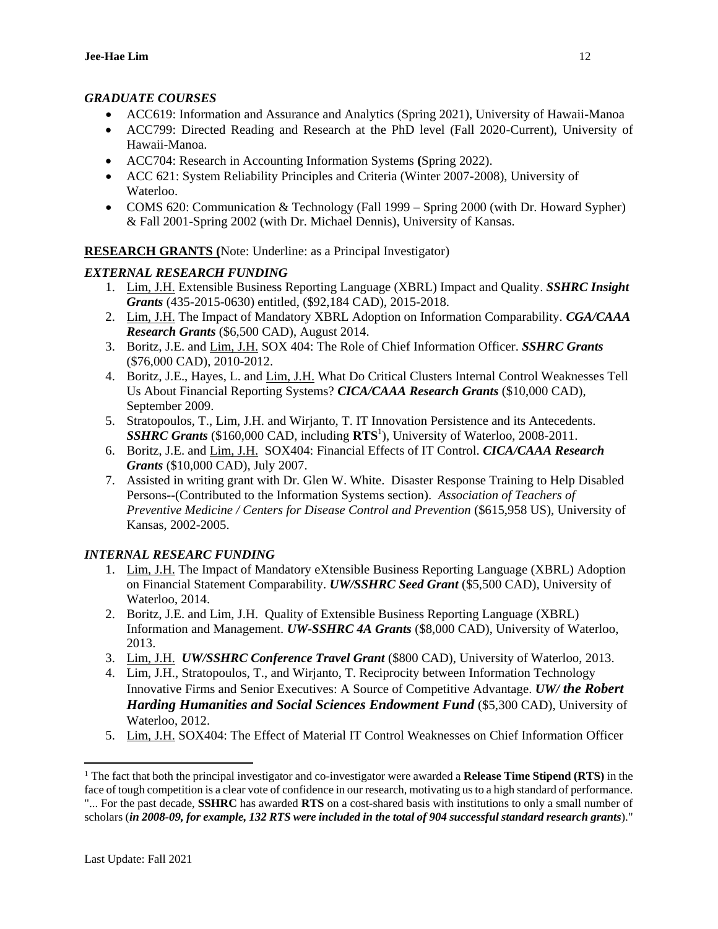## *GRADUATE COURSES*

- ACC619: Information and Assurance and Analytics (Spring 2021), University of Hawaii-Manoa
- ACC799: Directed Reading and Research at the PhD level (Fall 2020-Current), University of Hawaii-Manoa.
- ACC704: Research in Accounting Information Systems **(**Spring 2022).
- ACC 621: System Reliability Principles and Criteria (Winter 2007-2008), University of Waterloo.
- COMS 620: Communication & Technology (Fall 1999 Spring 2000 (with Dr. Howard Sypher) & Fall 2001-Spring 2002 (with Dr. Michael Dennis), University of Kansas.

**RESEARCH GRANTS (**Note: Underline: as a Principal Investigator)

## *EXTERNAL RESEARCH FUNDING*

- 1. Lim, J.H. Extensible Business Reporting Language (XBRL) Impact and Quality. *SSHRC Insight Grants* (435-2015-0630) entitled, (\$92,184 CAD), 2015-2018.
- 2. Lim, J.H. The Impact of Mandatory XBRL Adoption on Information Comparability. *CGA/CAAA Research Grants* (\$6,500 CAD), August 2014.
- 3. Boritz, J.E. and Lim, J.H. SOX 404: The Role of Chief Information Officer. *SSHRC Grants* (\$76,000 CAD), 2010-2012.
- 4. Boritz, J.E., Hayes, L. and Lim, J.H. What Do Critical Clusters Internal Control Weaknesses Tell Us About Financial Reporting Systems? *CICA/CAAA Research Grants* (\$10,000 CAD), September 2009.
- 5. Stratopoulos, T., Lim, J.H. and Wirjanto, T. IT Innovation Persistence and its Antecedents. *SSHRC Grants* (\$160,000 CAD, including **RTS**<sup>1</sup> ), University of Waterloo, 2008-2011.
- 6. Boritz, J.E. and Lim, J.H. SOX404: Financial Effects of IT Control. *CICA/CAAA Research Grants* (\$10,000 CAD), July 2007.
- 7. Assisted in writing grant with Dr. Glen W. White. Disaster Response Training to Help Disabled Persons--(Contributed to the Information Systems section). *Association of Teachers of Preventive Medicine / Centers for Disease Control and Prevention* (\$615,958 US), University of Kansas, 2002-2005.

# *INTERNAL RESEARC FUNDING*

- 1. Lim, J.H. The Impact of Mandatory eXtensible Business Reporting Language (XBRL) Adoption on Financial Statement Comparability. *UW/SSHRC Seed Grant* (\$5,500 CAD), University of Waterloo, 2014.
- 2. Boritz, J.E. and Lim, J.H. Quality of Extensible Business Reporting Language (XBRL) Information and Management. *UW-SSHRC 4A Grants* (\$8,000 CAD), University of Waterloo, 2013.
- 3. Lim, J.H. *UW/SSHRC Conference Travel Grant* (\$800 CAD), University of Waterloo, 2013.
- 4. Lim, J.H., Stratopoulos, T., and Wirjanto, T. Reciprocity between Information Technology Innovative Firms and Senior Executives: A Source of Competitive Advantage. *UW/ the Robert Harding Humanities and Social Sciences Endowment Fund* (\$5,300 CAD), University of Waterloo, 2012.
- 5. Lim, J.H. SOX404: The Effect of Material IT Control Weaknesses on Chief Information Officer

 $\overline{a}$ <sup>1</sup> The fact that both the principal investigator and co-investigator were awarded a **Release Time Stipend (RTS)** in the face of tough competition is a clear vote of confidence in our research, motivating us to a high standard of performance. "... For the past decade, **SSHRC** has awarded **RTS** on a cost-shared basis with institutions to only a small number of

scholars (*in 2008-09, for example, 132 RTS were included in the total of 904 successful standard research grants*)."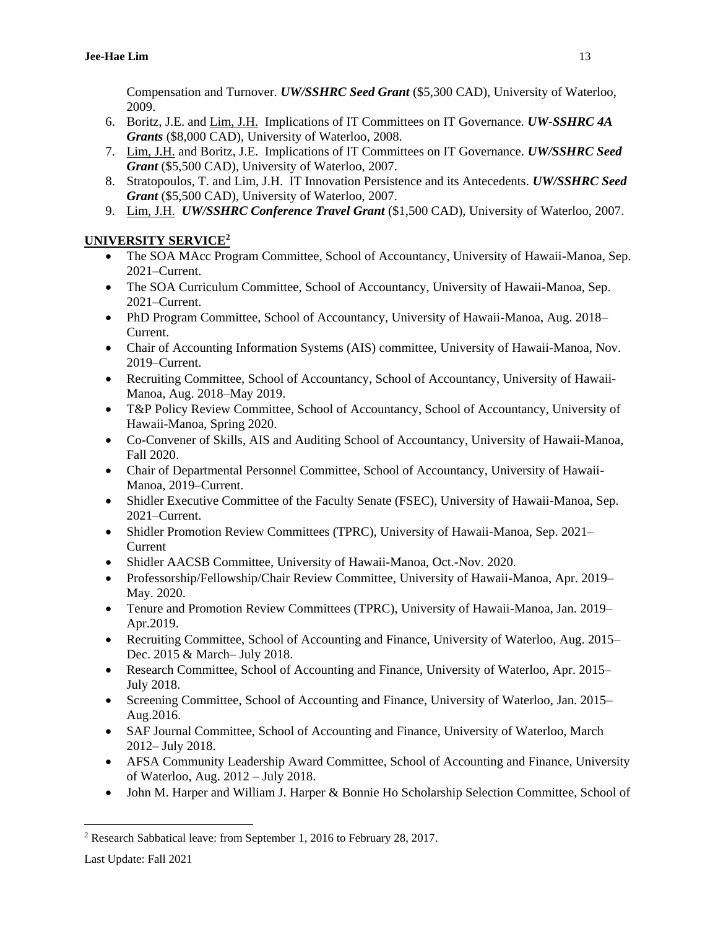Compensation and Turnover. *UW/SSHRC Seed Grant* (\$5,300 CAD), University of Waterloo, 2009.

- 6. Boritz, J.E. and Lim, J.H. Implications of IT Committees on IT Governance. *UW-SSHRC 4A Grants* (\$8,000 CAD), University of Waterloo, 2008.
- 7. Lim, J.H. and Boritz, J.E. Implications of IT Committees on IT Governance. *UW/SSHRC Seed Grant* (\$5,500 CAD), University of Waterloo, 2007.
- 8. Stratopoulos, T. and Lim, J.H. IT Innovation Persistence and its Antecedents. *UW/SSHRC Seed Grant* (\$5,500 CAD), University of Waterloo, 2007.
- 9. Lim, J.H. *UW/SSHRC Conference Travel Grant* (\$1,500 CAD), University of Waterloo, 2007.

# **UNIVERSITY SERVICE<sup>2</sup>**

- The SOA MAcc Program Committee, School of Accountancy, University of Hawaii-Manoa, Sep. 2021–Current.
- The SOA Curriculum Committee, School of Accountancy, University of Hawaii-Manoa, Sep. 2021–Current.
- PhD Program Committee, School of Accountancy, University of Hawaii-Manoa, Aug. 2018– Current.
- Chair of Accounting Information Systems (AIS) committee, University of Hawaii-Manoa, Nov. 2019–Current.
- Recruiting Committee, School of Accountancy, School of Accountancy, University of Hawaii-Manoa, Aug. 2018–May 2019.
- T&P Policy Review Committee, School of Accountancy, School of Accountancy, University of Hawaii-Manoa, Spring 2020.
- Co-Convener of Skills, AIS and Auditing School of Accountancy, University of Hawaii-Manoa, Fall 2020.
- Chair of Departmental Personnel Committee, School of Accountancy, University of Hawaii-Manoa, 2019–Current.
- Shidler Executive Committee of the Faculty Senate (FSEC), University of Hawaii-Manoa, Sep. 2021–Current.
- Shidler Promotion Review Committees (TPRC), University of Hawaii-Manoa, Sep. 2021– Current
- Shidler AACSB Committee, University of Hawaii-Manoa, Oct.-Nov. 2020.
- Professorship/Fellowship/Chair Review Committee, University of Hawaii-Manoa, Apr. 2019– May. 2020.
- Tenure and Promotion Review Committees (TPRC), University of Hawaii-Manoa, Jan. 2019– Apr.2019.
- Recruiting Committee, School of Accounting and Finance, University of Waterloo, Aug. 2015– Dec. 2015 & March– July 2018.
- Research Committee, School of Accounting and Finance, University of Waterloo, Apr. 2015– July 2018.
- Screening Committee, School of Accounting and Finance, University of Waterloo, Jan. 2015– Aug.2016.
- SAF Journal Committee, School of Accounting and Finance, University of Waterloo, March 2012– July 2018.
- AFSA Community Leadership Award Committee, School of Accounting and Finance, University of Waterloo, Aug. 2012 – July 2018.
- John M. Harper and William J. Harper & Bonnie Ho Scholarship Selection Committee, School of

 $\overline{a}$ 

<sup>2</sup> Research Sabbatical leave: from September 1, 2016 to February 28, 2017.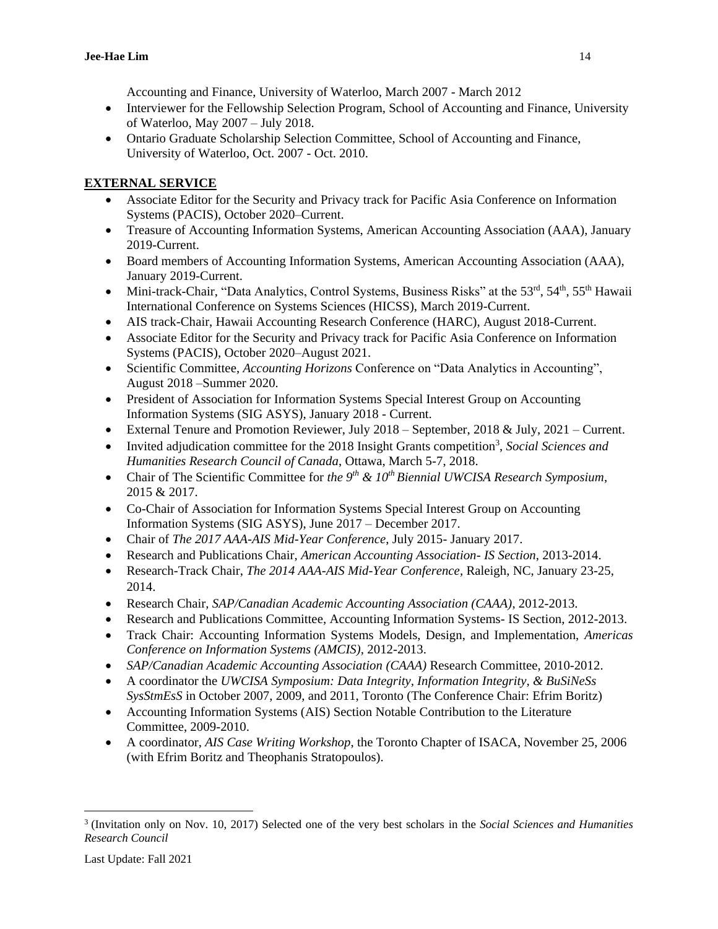Accounting and Finance, University of Waterloo, March 2007 - March 2012

- Interviewer for the Fellowship Selection Program, School of Accounting and Finance, University of Waterloo, May 2007 – July 2018.
- Ontario Graduate Scholarship Selection Committee, School of Accounting and Finance, University of Waterloo, Oct. 2007 - Oct. 2010.

# **EXTERNAL SERVICE**

- Associate Editor for the Security and Privacy track for Pacific Asia Conference on Information Systems (PACIS), October 2020–Current.
- Treasure of Accounting Information Systems, American Accounting Association (AAA), January 2019-Current.
- Board members of Accounting Information Systems, American Accounting Association (AAA), January 2019-Current.
- Mini-track-Chair, "Data Analytics, Control Systems, Business Risks" at the 53<sup>rd</sup>, 54<sup>th</sup>, 55<sup>th</sup> Hawaii International Conference on Systems Sciences (HICSS), March 2019-Current.
- AIS track-Chair, Hawaii Accounting Research Conference (HARC), August 2018-Current.
- Associate Editor for the Security and Privacy track for Pacific Asia Conference on Information Systems (PACIS), October 2020–August 2021.
- Scientific Committee, *Accounting Horizons* Conference on "Data Analytics in Accounting", August 2018 –Summer 2020.
- President of Association for Information Systems Special Interest Group on Accounting Information Systems (SIG ASYS), January 2018 - Current.
- External Tenure and Promotion Reviewer, July 2018 September, 2018 & July, 2021 Current.
- Invited adjudication committee for the 2018 Insight Grants competition<sup>3</sup>, Social Sciences and *Humanities Research Council of Canada*, Ottawa, March 5-7, 2018.
- Chair of The Scientific Committee for *the 9th & 10th Biennial UWCISA Research Symposium*, 2015 & 2017.
- Co-Chair of Association for Information Systems Special Interest Group on Accounting Information Systems (SIG ASYS), June 2017 – December 2017.
- Chair of *The 2017 AAA-AIS Mid-Year Conference*, July 2015- January 2017.
- Research and Publications Chair, *American Accounting Association- IS Section*, 2013-2014.
- Research-Track Chair, *The 2014 AAA-AIS Mid-Year Conference,* Raleigh, NC, January 23-25, 2014.
- Research Chair, *SAP/Canadian Academic Accounting Association (CAAA)*, 2012-2013.
- Research and Publications Committee, Accounting Information Systems- IS Section, 2012-2013.
- Track Chair: Accounting Information Systems Models, Design, and Implementation, *Americas Conference on Information Systems (AMCIS)*, 2012-2013.
- *SAP/Canadian Academic Accounting Association (CAAA)* Research Committee, 2010-2012.
- A coordinator the *UWCISA Symposium: Data Integrity, Information Integrity, & BuSiNeSs SysStmEsS* in October 2007, 2009, and 2011, Toronto (The Conference Chair: Efrim Boritz)
- Accounting Information Systems (AIS) Section Notable Contribution to the Literature Committee, 2009-2010.
- A coordinator, *AIS Case Writing Workshop*, the Toronto Chapter of ISACA, November 25, 2006 (with Efrim Boritz and Theophanis Stratopoulos).

 $\overline{a}$ 

<sup>3</sup> (Invitation only on Nov. 10, 2017) Selected one of the very best scholars in the *Social Sciences and Humanities Research Council*